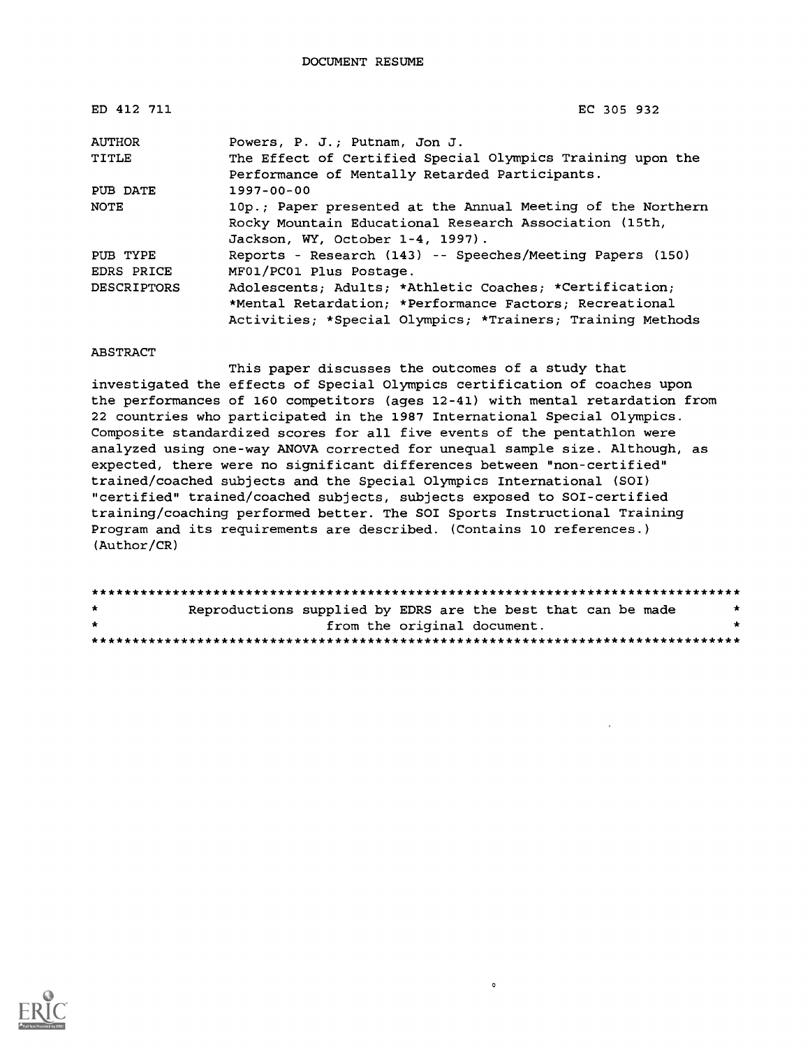| ED 412 711         | EC 305 932                                                  |  |  |  |  |
|--------------------|-------------------------------------------------------------|--|--|--|--|
| <b>AUTHOR</b>      | Powers, P. J.; Putnam, Jon J.                               |  |  |  |  |
| <b>TITLE</b>       | The Effect of Certified Special Olympics Training upon the  |  |  |  |  |
|                    | Performance of Mentally Retarded Participants.              |  |  |  |  |
| PUB DATE           | $1997 - 00 - 00$                                            |  |  |  |  |
| NOTE               | 10p.; Paper presented at the Annual Meeting of the Northern |  |  |  |  |
|                    | Rocky Mountain Educational Research Association (15th,      |  |  |  |  |
|                    | Jackson, WY, October 1-4, 1997).                            |  |  |  |  |
| PUB TYPE           | Reports - Research (143) -- Speeches/Meeting Papers (150)   |  |  |  |  |
| EDRS PRICE         | MF01/PC01 Plus Postage.                                     |  |  |  |  |
| <b>DESCRIPTORS</b> | Adolescents; Adults; *Athletic Coaches; *Certification;     |  |  |  |  |
|                    | *Mental Retardation; *Performance Factors; Recreational     |  |  |  |  |
|                    | Activities; *Special Olympics; *Trainers; Training Methods  |  |  |  |  |

#### **ABSTRACT**

This paper discusses the outcomes of a study that investigated the effects of Special Olympics certification of coaches upon the performances of 160 competitors (ages 12-41) with mental retardation from 22 countries who participated in the 1987 International Special Olympics. Composite standardized scores for all five events of the pentathlon were analyzed using one-way ANOVA corrected for unequal sample size. Although, as expected, there were no significant differences between "non-certified" trained/coached subjects and the Special Olympics International (SOI) "certified" trained/coached subjects, subjects exposed to SOI-certified training/coaching performed better. The SOI Sports Instructional Training Program and its requirements are described. (Contains 10 references.) (Author/CR)

Reproductions supplied by EDRS are the best that can be made  $\star$ from the original document.  $\star$ 

 $\circ$ 

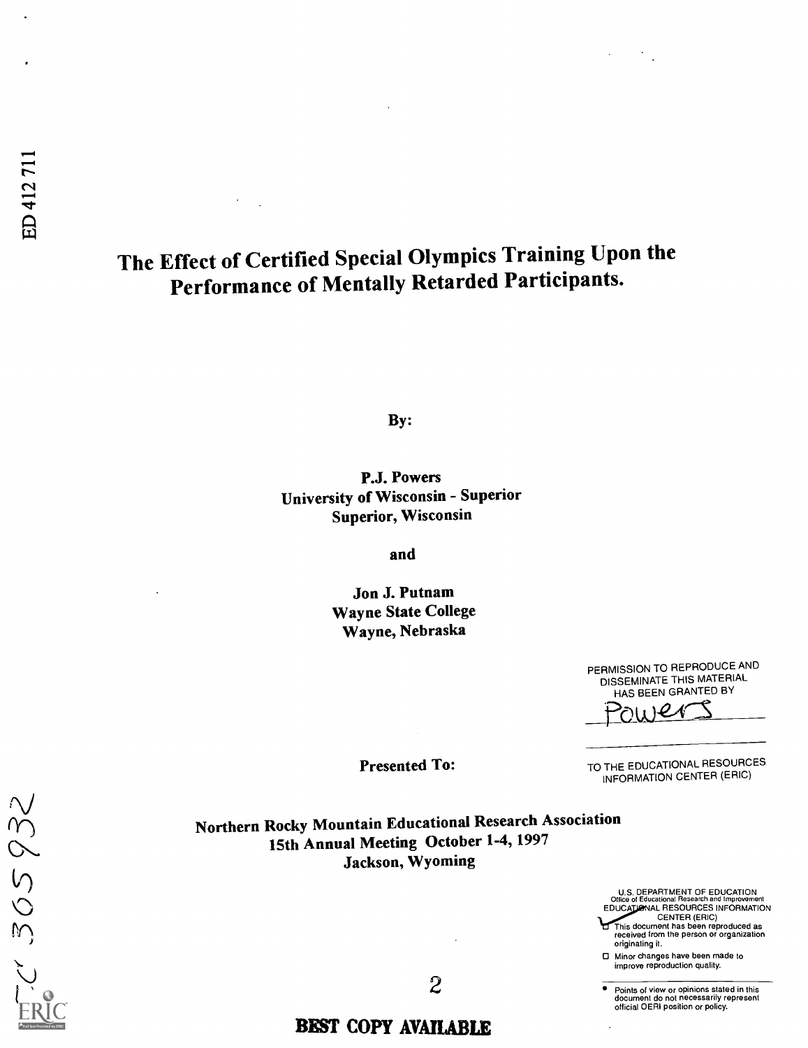# The Effect of Certified Special Olympics Training Upon the Performance of Mentally Retarded Participants.

By:

P.J. Powers University of Wisconsin - Superior Superior, Wisconsin

and

Jon J. Putnam Wayne State College Wayne, Nebraska

> PERMISSION TO REPRODUCE AND DISSEMINATE THIS MATERIAL HAS BEEN GRANTED BY

 $1)$ er

Presented To:

TO THE EDUCATIONAL RESOURCES INFORMATION CENTER (ERIC)

Northern Rocky Mountain Educational Research Association 15th Annual Meeting October 1-4, 1997 Jackson, Wyoming

> U.S. DEPARTMENT OF EDUCATION<br>Office of Educational Research and Improvement<br>EDUCATIONAL RESOURCES INFORMATION CENTER (ERIC)

This document has been reproduced as received from the person or organization originating it. □ Minor changes have been made to

improve reproduction quality.

2 Points of view or opinions stated in this document do not necessarily represent official OERI position or policy.

 $1305932$  $\mathcal{N}$ 

### BEST COPY AVAILABLE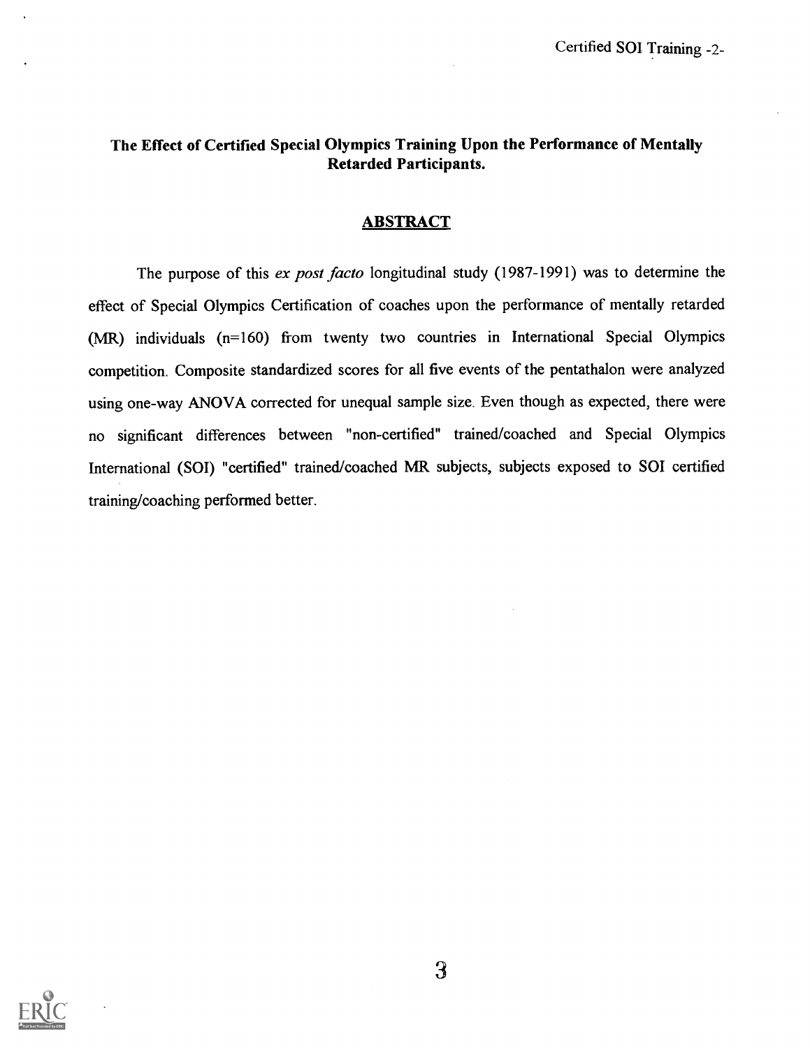#### The Effect of Certified Special Olympics Training Upon the Performance of Mentally Retarded Participants.

#### ABSTRACT

The purpose of this ex post facto longitudinal study (1987-1991) was to determine the effect of Special Olympics Certification of coaches upon the performance of mentally retarded (MR) individuals (n=160) from twenty two countries in International Special Olympics competition. Composite standardized scores for all five events of the pentathalon were analyzed using one-way ANOVA corrected for unequal sample size. Even though as expected, there were no significant differences between "non-certified" trained/coached and Special Olympics International (SOI) "certified" trained/coached MR subjects, subjects exposed to SOI certified training/coaching performed better.

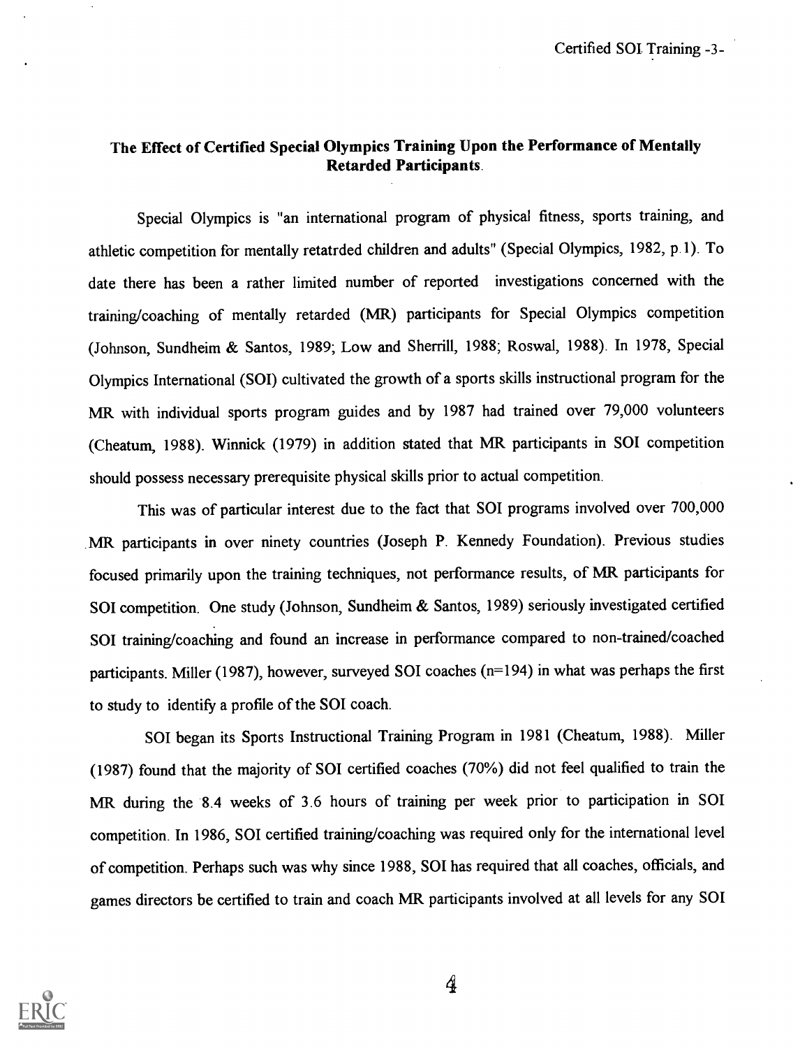### The Effect of Certified Special Olympics Training Upon the Performance of Mentally Retarded Participants.

Special Olympics is "an international program of physical fitness, sports training, and athletic competition for mentally retatrded children and adults" (Special Olympics, 1982, p.1). To date there has been a rather limited number of reported investigations concerned with the training/coaching of mentally retarded (MR) participants for Special Olympics competition (Johnson, Sundheim & Santos, 1989; Low and Sherrill, 1988; Roswal, 1988). In 1978, Special Olympics International (SOI) cultivated the growth of a sports skills instructional program for the MR with individual sports program guides and by 1987 had trained over 79,000 volunteers (Cheatum, 1988). Winnick (1979) in addition stated that MR participants in SOI competition should possess necessary prerequisite physical skills prior to actual competition.

This was of particular interest due to the fact that SOI programs involved over 700,000 MR participants in over ninety countries (Joseph P. Kennedy Foundation). Previous studies focused primarily upon the training techniques, not performance results, of MR participants for SOI competition. One study (Johnson, Sundheim & Santos, 1989) seriously investigated certified SOI training/coaching and found an increase in performance compared to non-trained/coached participants. Miller (1987), however, surveyed SOI coaches (n=194) in what was perhaps the first to study to identify a profile of the SOI coach.

SOI began its Sports Instructional Training Program in 1981 (Cheatum, 1988). Miller (1987) found that the majority of SOI certified coaches (70%) did not feel qualified to train the MR during the 8.4 weeks of 3.6 hours of training per week prior to participation in SOI competition. In 1986, SOI certified training/coaching was required only for the international level of competition. Perhaps such was why since 1988, SOI has required that all coaches, officials, and games directors be certified to train and coach MR participants involved at all levels for any SOI

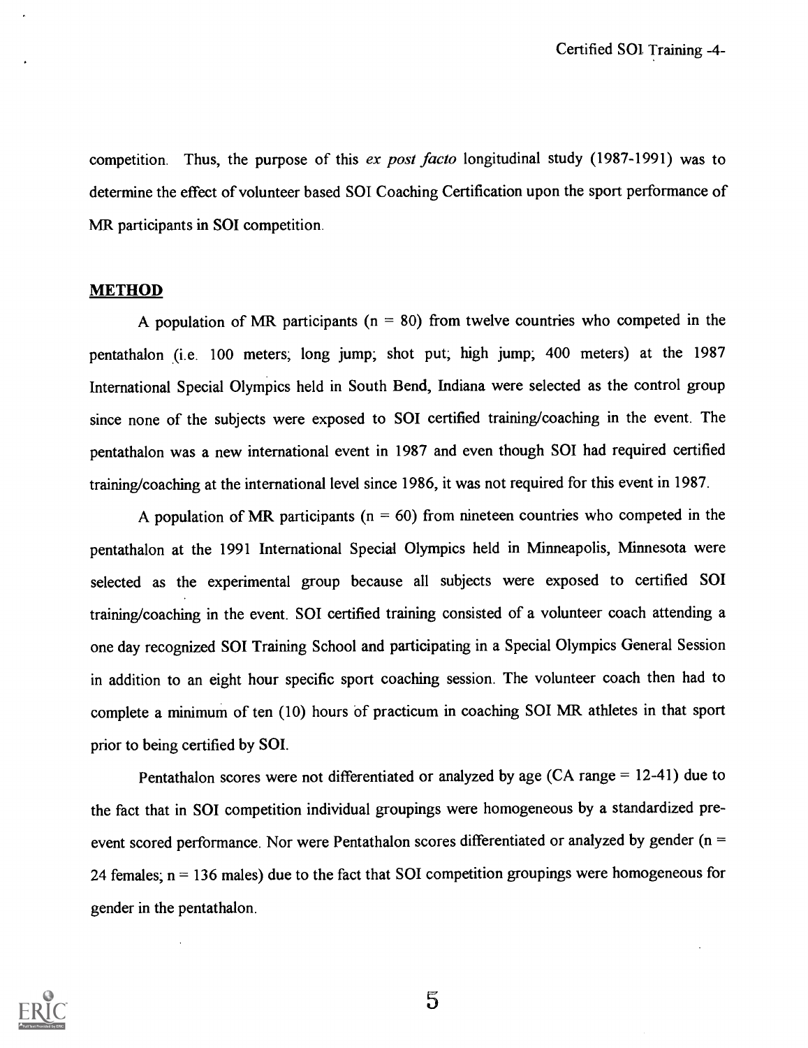competition. Thus, the purpose of this ex post facto longitudinal study (1987-1991) was to determine the effect of volunteer based SOI Coaching Certification upon the sport performance of MR participants in SOI competition.

#### **METHOD**

A population of MR participants ( $n = 80$ ) from twelve countries who competed in the pentathalon (i.e. 100 meters; long jump; shot put; high jump; 400 meters) at the 1987 International Special Olympics held in South Bend, Indiana were selected as the control group since none of the subjects were exposed to SOI certified training/coaching in the event. The pentathalon was a new international event in 1987 and even though SOT had required certified training/coaching at the international level since 1986, it was not required for this event in 1987.

A population of MR participants ( $n = 60$ ) from nineteen countries who competed in the pentathalon at the 1991 International Special Olympics held in Minneapolis, Minnesota were selected as the experimental group because all subjects were exposed to certified SOI training/coaching in the event. SOI certified training consisted of a volunteer coach attending a one day recognized SOI Training School and participating in a Special Olympics General Session in addition to an eight hour specific sport coaching session. The volunteer coach then had to complete a minimum of ten (10) hours of practicum in coaching SOI MR athletes in that sport prior to being certified by SOI.

Pentathalon scores were not differentiated or analyzed by age (CA range = 12-41) due to the fact that in SOI competition individual groupings were homogeneous by a standardized preevent scored performance. Nor were Pentathalon scores differentiated or analyzed by gender (n = 24 females;  $n = 136$  males) due to the fact that SOI competition groupings were homogeneous for gender in the pentathalon.

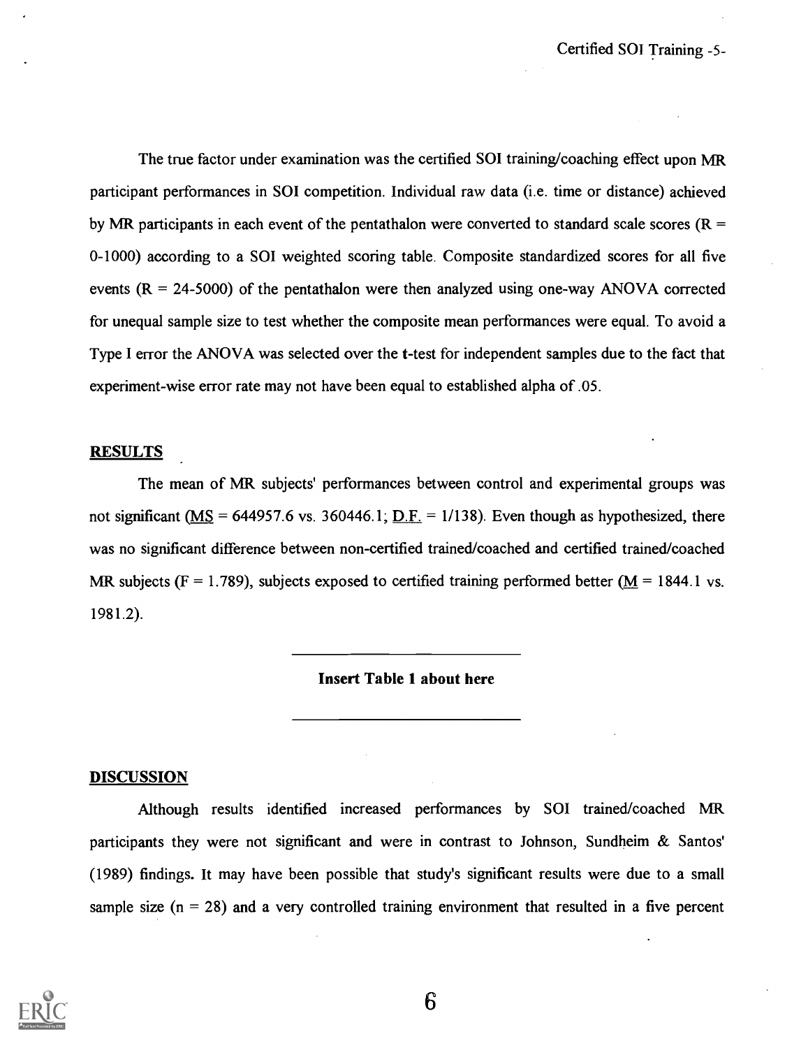The true factor under examination was the certified SOI training/coaching effect upon MR participant performances in SOI competition. Individual raw data (i.e. time or distance) achieved by MR participants in each event of the pentathalon were converted to standard scale scores ( $R =$ 0-1000) according to a SOI weighted scoring table. Composite standardized scores for all five events  $(R = 24-5000)$  of the pentathalon were then analyzed using one-way ANOVA corrected for unequal sample size to test whether the composite mean performances were equal. To avoid a Type I error the ANOVA was selected over the t-test for independent samples due to the fact that experiment-wise error rate may not have been equal to established alpha of .05.

#### **RESULTS**

The mean of MR subjects' performances between control and experimental groups was not significant (MS = 644957.6 vs. 360446.1;  $D.F. = 1/138$ ). Even though as hypothesized, there was no significant difference between non-certified trained/coached and certified trained/coached MR subjects (F = 1.789), subjects exposed to certified training performed better ( $M = 1844.1$  vs. 1981.2).

#### Insert Table 1 about here

#### DISCUSSION

Although results identified increased performances by SOI trained/coached MR participants they were not significant and were in contrast to Johnson, Sundheim & Santos' (1989) findings. It may have been possible that study's significant results were due to a small sample size  $(n = 28)$  and a very controlled training environment that resulted in a five percent

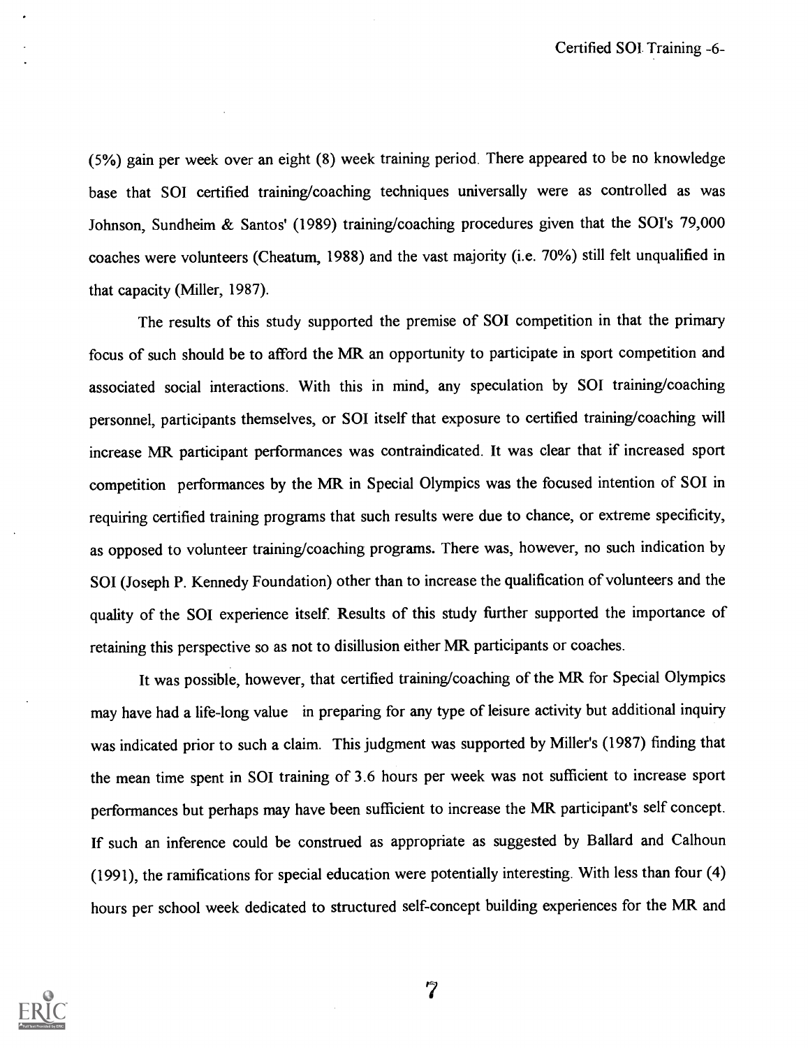(5%) gain per week over an eight (8) week training period. There appeared to be no knowledge base that SOI certified training/coaching techniques universally were as controlled as was Johnson, Sundheim & Santos' (1989) training/coaching procedures given that the SOI's 79,000 coaches were volunteers (Cheatum, 1988) and the vast majority (i.e. 70%) still felt unqualified in that capacity (Miller, 1987).

The results of this study supported the premise of SOI competition in that the primary focus of such should be to afford the MR an opportunity to participate in sport competition and associated social interactions. With this in mind, any speculation by SOT training/coaching personnel, participants themselves, or SOI itself that exposure to certified training/coaching will increase MR participant performances was contraindicated. It was clear that if increased sport competition performances by the MR in Special Olympics was the focused intention of SOI in requiring certified training programs that such results were due to chance, or extreme specificity, as opposed to volunteer training/coaching programs. There was, however, no such indication by SOI (Joseph P. Kennedy Foundation) other than to increase the qualification of volunteers and the quality of the SOI experience itself. Results of this study further supported the importance of retaining this perspective so as not to disillusion either MR participants or coaches.

It was possible, however, that certified training/coaching of the MR for Special Olympics may have had a life-long value in preparing for any type of leisure activity but additional inquiry was indicated prior to such a claim. This judgment was supported by Miller's (1987) finding that the mean time spent in SOI training of 3.6 hours per week was not sufficient to increase sport performances but perhaps may have been sufficient to increase the MR participant's self concept. If such an inference could be construed as appropriate as suggested by Ballard and Calhoun (1991), the ramifications for special education were potentially interesting. With less than four (4) hours per school week dedicated to structured self-concept building experiences for the MR and

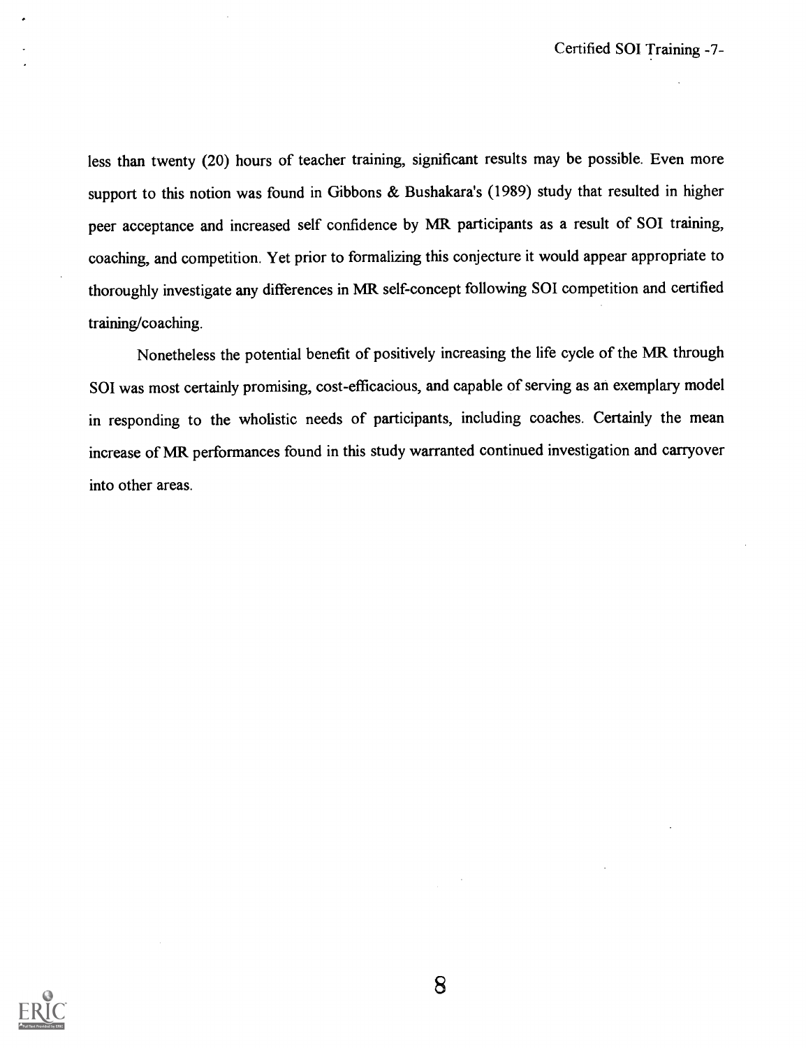less than twenty (20) hours of teacher training, significant results may be possible. Even more support to this notion was found in Gibbons & Bushakara's (1989) study that resulted in higher peer acceptance and increased self confidence by MR participants as a result of SOI training, coaching, and competition. Yet prior to formalizing this conjecture it would appear appropriate to thoroughly investigate any differences in MR self-concept following SOI competition and certified training/coaching.

Nonetheless the potential benefit of positively increasing the life cycle of the MR through SOI was most certainly promising, cost-efficacious, and capable of serving as an exemplary model in responding to the wholistic needs of participants, including coaches. Certainly the mean increase of MR performances found in this study warranted continued investigation and carryover into other areas.

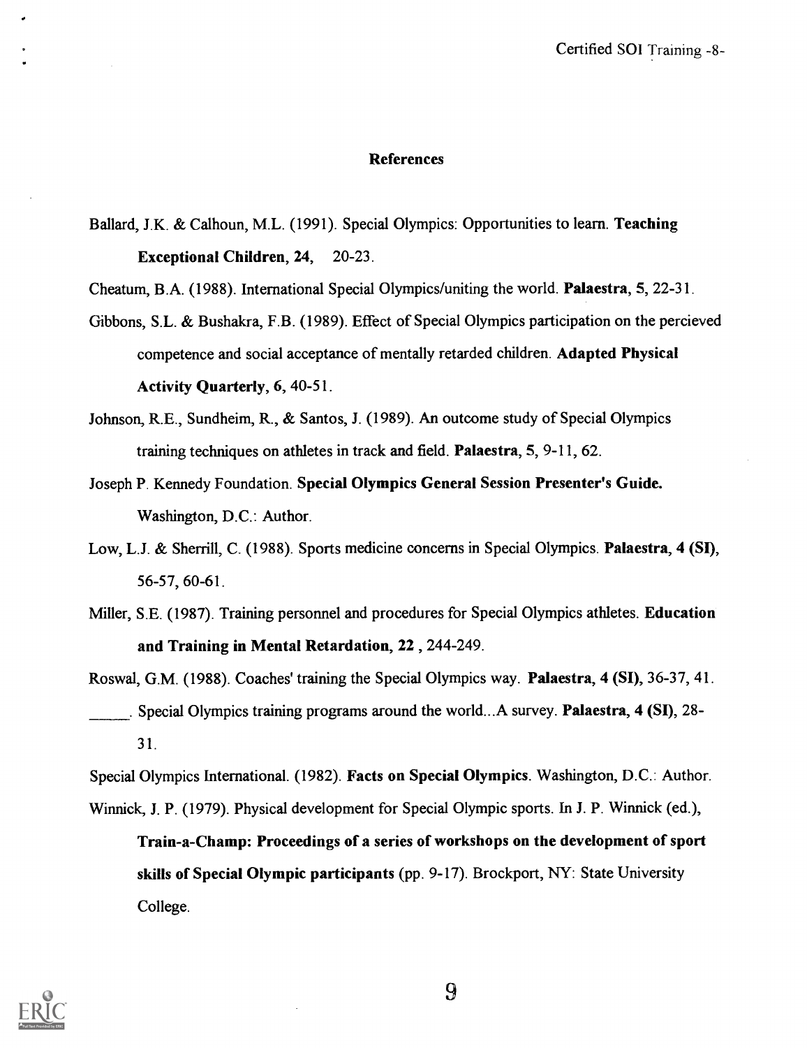#### References

Ballard, J.K. & Calhoun, M.L. (1991). Special Olympics: Opportunities to learn. Teaching Exceptional Children, 24, 20-23.

Cheatum, B.A. (1988). International Special Olympics/uniting the world. Palaestra, 5, 22-31.

- Gibbons, S.L. & Bushakra, F.B. (1989). Effect of Special Olympics participation on the percieved competence and social acceptance of mentally retarded children. Adapted Physical Activity Quarterly, 6, 40-51.
- Johnson, R.E., Sundheim, R., & Santos, J. (1989). An outcome study of Special Olympics training techniques on athletes in track and field. Palaestra, 5, 9-11, 62.
- Joseph P. Kennedy Foundation. Special Olympics General Session Presenter's Guide. Washington, D.C.: Author.
- Low, L.J. & Sherrill, C. (1988). Sports medicine concerns in Special Olympics. Palaestra, 4 (SI), 56-57, 60-61.
- Miller, S.E. (1987). Training personnel and procedures for Special Olympics athletes. Education and Training in Mental Retardation, 22, 244-249.

Roswal, G.M. (1988). Coaches' training the Special Olympics way. Palaestra, 4 (SI), 36-37, 41. . Special Olympics training programs around the world...A survey. Palaestra, 4 (SI), 28- 31.

Special Olympics International. (1982). Facts on Special Olympics. Washington, D.C.: Author. Winnick, J. P. (1979). Physical development for Special Olympic sports. In J. P. Winnick (ed.),

Train-a-Champ: Proceedings of a series of workshops on the development of sport skills of Special Olympic participants (pp. 9-17). Brockport, NY: State University College.

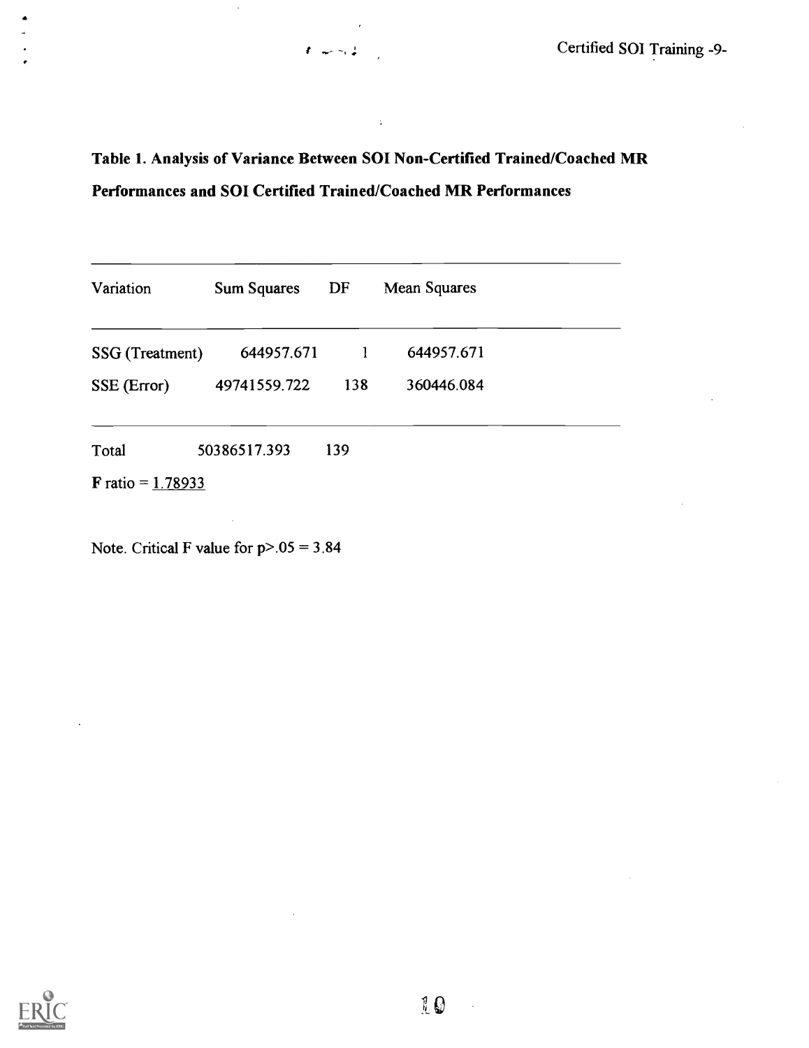## Table 1. Analysis of Variance Between SOI Non-Certified Trained/Coached MR Performances and SOI Certified Trained/Coached MR Performances

 $\ddot{\phantom{a}}$ 

 $\pmb{\delta}=\pmb{\omega} \pmb{\omega} = \pmb{\omega} \pmb{\omega}$ 

| Variation                  | <b>Sum Squares</b> | DF  | <b>Mean Squares</b> |  |
|----------------------------|--------------------|-----|---------------------|--|
| SSG (Treatment)            | 644957.671         | 1   | 644957.671          |  |
| SSE (Error)                | 49741559.722       | 138 | 360446.084          |  |
| Total                      | 50386517.393       | 139 |                     |  |
| <b>F</b> ratio = $1.78933$ |                    |     |                     |  |

Note. Critical F value for  $p > 05 = 3.84$